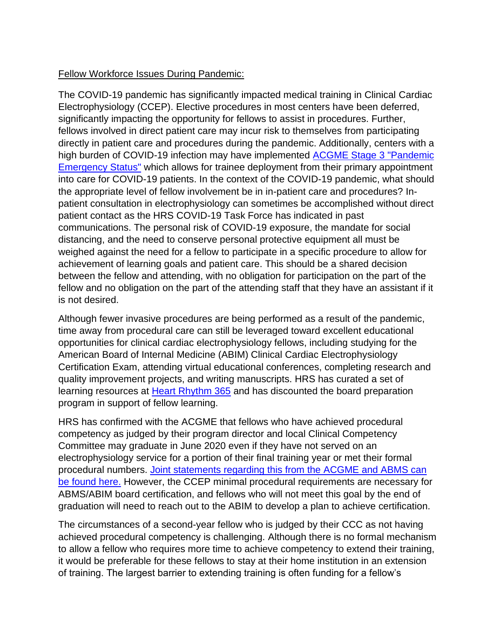## Fellow Workforce Issues During Pandemic:

The COVID-19 pandemic has significantly impacted medical training in Clinical Cardiac Electrophysiology (CCEP). Elective procedures in most centers have been deferred, significantly impacting the opportunity for fellows to assist in procedures. Further, fellows involved in direct patient care may incur risk to themselves from participating directly in patient care and procedures during the pandemic. Additionally, centers with a high burden of COVID-19 infection may have implemented [ACGME Stage](https://acgme.org/COVID-19/Three-Stages-of-GME-During-the-COVID-19-Pandemic) 3 "Pandemic [Emergency Status"](https://acgme.org/COVID-19/Three-Stages-of-GME-During-the-COVID-19-Pandemic) which allows for trainee deployment from their primary appointment into care for COVID-19 patients. In the context of the COVID-19 pandemic, what should the appropriate level of fellow involvement be in in-patient care and procedures? Inpatient consultation in electrophysiology can sometimes be accomplished without direct patient contact as the HRS COVID-19 Task Force has indicated in past communications. The personal risk of COVID-19 exposure, the mandate for social distancing, and the need to conserve personal protective equipment all must be weighed against the need for a fellow to participate in a specific procedure to allow for achievement of learning goals and patient care. This should be a shared decision between the fellow and attending, with no obligation for participation on the part of the fellow and no obligation on the part of the attending staff that they have an assistant if it is not desired.

Although fewer invasive procedures are being performed as a result of the pandemic, time away from procedural care can still be leveraged toward excellent educational opportunities for clinical cardiac electrophysiology fellows, including studying for the American Board of Internal Medicine (ABIM) Clinical Cardiac Electrophysiology Certification Exam, attending virtual educational conferences, completing research and quality improvement projects, and writing manuscripts. HRS has curated a set of learning resources at [Heart Rhythm 365](https://www.heartrhythm365.org/Public/Catalog/Home.aspx) and has discounted the board preparation program in support of fellow learning.

HRS has confirmed with the ACGME that fellows who have achieved procedural competency as judged by their program director and local Clinical Competency Committee may graduate in June 2020 even if they have not served on an electrophysiology service for a portion of their final training year or met their formal procedural numbers. [Joint statements regarding this from the ACGME and ABMS can](https://acgme.org/Newsroom/Newsroom-Details/ArticleID/10192/The-American-Board-of-Medical-Specialties-and-Accreditation-Council-for-Graduate-Medical-Education-Joint-Principles-Physician-Training-During-the-Coronavirus-Disease-2019-Pandemic)  [be found here.](https://acgme.org/Newsroom/Newsroom-Details/ArticleID/10192/The-American-Board-of-Medical-Specialties-and-Accreditation-Council-for-Graduate-Medical-Education-Joint-Principles-Physician-Training-During-the-Coronavirus-Disease-2019-Pandemic) However, the CCEP minimal procedural requirements are necessary for ABMS/ABIM board certification, and fellows who will not meet this goal by the end of graduation will need to reach out to the ABIM to develop a plan to achieve certification.

The circumstances of a second-year fellow who is judged by their CCC as not having achieved procedural competency is challenging. Although there is no formal mechanism to allow a fellow who requires more time to achieve competency to extend their training, it would be preferable for these fellows to stay at their home institution in an extension of training. The largest barrier to extending training is often funding for a fellow's